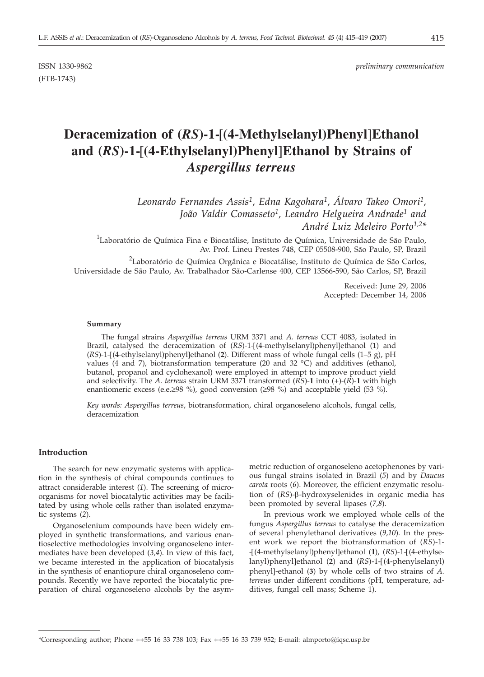(FTB-1743)

# **Deracemization of (***RS***)-1-[(4-Methylselanyl)Phenyl]Ethanol and (***RS***)-1-[(4-Ethylselanyl)Phenyl]Ethanol by Strains of** *Aspergillus terreus*

*Leonardo Fernandes Assis1, Edna Kagohara1, Álvaro Takeo Omori1, João Valdir Comasseto1, Leandro Helgueira Andrade1 and André Luiz Meleiro Porto1,2\**

 $^1$ Laboratório de Química Fina e Biocatálise, Instituto de Química, Universidade de São Paulo, Av. Prof. Lineu Prestes 748, CEP 05508-900, São Paulo, SP, Brazil

 $^2$ Laboratório de Química Orgânica e Biocatálise, Instituto de Química de São Carlos, Universidade de São Paulo, Av. Trabalhador São-Carlense 400, CEP 13566-590, São Carlos, SP, Brazil

> Received: June 29, 2006 Accepted: December 14, 2006

#### **Summary**

The fungal strains *Aspergillus terreus* URM 3371 and *A. terreus* CCT 4083, isolated in Brazil, catalysed the deracemization of (*RS*)-1-[(4-methylselanyl)phenyl]ethanol (**1**) and (*RS*)-1-[(4-ethylselanyl)phenyl]ethanol (**2**). Different mass of whole fungal cells (1–5 g), pH values (4 and 7), biotransformation temperature (20 and 32 °C) and additives (ethanol, butanol, propanol and cyclohexanol) were employed in attempt to improve product yield and selectivity. The *A. terreus* strain URM 3371 transformed (*RS*)-**1** into (+)-(*R*)-**1** with high enantiomeric excess (e.e. $\geq 98$  %), good conversion ( $\geq 98$  %) and acceptable yield (53 %).

*Key words: Aspergillus terreus*, biotransformation, chiral organoseleno alcohols, fungal cells, deracemization

# **Introduction**

The search for new enzymatic systems with application in the synthesis of chiral compounds continues to attract considerable interest (*1*). The screening of microorganisms for novel biocatalytic activities may be facilitated by using whole cells rather than isolated enzymatic systems (*2*).

Organoselenium compounds have been widely employed in synthetic transformations, and various enantioselective methodologies involving organoseleno intermediates have been developed (*3,4*). In view of this fact, we became interested in the application of biocatalysis in the synthesis of enantiopure chiral organoseleno compounds. Recently we have reported the biocatalytic preparation of chiral organoseleno alcohols by the asymmetric reduction of organoseleno acetophenones by various fungal strains isolated in Brazil (*5*) and by *Daucus carota* roots (*6*). Moreover, the efficient enzymatic resolution of (RS)-β-hydroxyselenides in organic media has been promoted by several lipases (*7,8*).

In previous work we employed whole cells of the fungus *Aspergillus terreus* to catalyse the deracemization of several phenylethanol derivatives (*9,10*). In the present work we report the biotransformation of (*RS*)-1- -[(4-methylselanyl)phenyl]ethanol (**1**), (*RS*)-1-[(4-ethylselanyl)phenyl]ethanol (**2**) and (*RS*)-1-[(4-phenylselanyl) phenyl]-ethanol (**3**) by whole cells of two strains of *A. terreus* under different conditions (pH, temperature, additives, fungal cell mass; Scheme 1).

<sup>\*</sup>Corresponding author; Phone ++55 16 33 738 103; Fax ++55 16 33 739 952; E-mail: almporto@iqsc.usp.br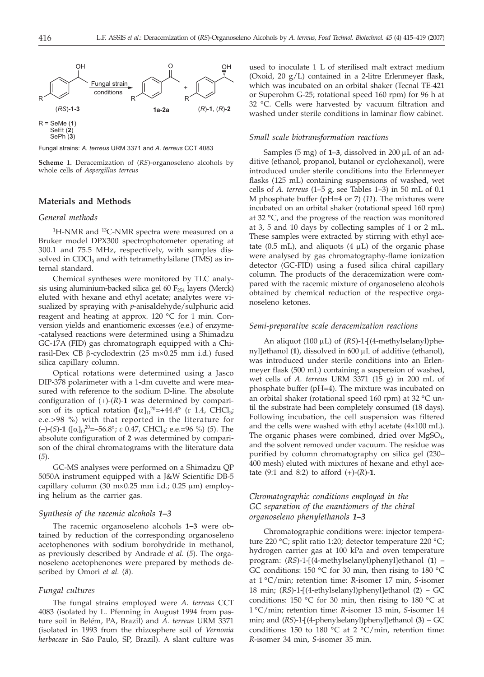

Fungal strains: *A. terreus* URM 3371 and *A. terreus* CCT 4083

**Scheme 1.** Deracemization of (*RS*)-organoseleno alcohols by whole cells of *Aspergillus terreus*

# **Materials and Methods**

#### *General methods*

<sup>1</sup>H-NMR and <sup>13</sup>C-NMR spectra were measured on a Bruker model DPX300 spectrophotometer operating at 300.1 and 75.5 MHz, respectively, with samples dissolved in  $CDCl<sub>3</sub>$  and with tetramethylsilane (TMS) as internal standard.

Chemical syntheses were monitored by TLC analysis using aluminium-backed silica gel 60  $F_{254}$  layers (Merck) eluted with hexane and ethyl acetate; analytes were visualized by spraying with *p*-anisaldehyde/sulphuric acid reagent and heating at approx. 120 °C for 1 min. Conversion yields and enantiomeric excesses (e.e.) of enzyme- -catalysed reactions were determined using a Shimadzu GC-17A (FID) gas chromatograph equipped with a Chirasil-Dex CB  $\beta$ -cyclodextrin (25 m×0.25 mm i.d.) fused silica capillary column.

Optical rotations were determined using a Jasco DIP-378 polarimeter with a 1-dm cuvette and were measured with reference to the sodium D-line. The absolute configuration of  $(+)$ - $(R)$ -1 was determined by comparison of its optical rotation  $([\alpha]_{D}^{20} = +44.4^{\circ}$  (*c* 1.4, CHCl<sub>3</sub>; e.e.>98 %) with that reported in the literature for (-)-(*S*)-1 ([ $\alpha$ ]<sub>D</sub><sup>20</sup>=-56.8°; *c* 0.47, CHCl<sub>3</sub>; e.e.=96 %) (5). The absolute configuration of **2** was determined by comparison of the chiral chromatograms with the literature data (*5*).

GC-MS analyses were performed on a Shimadzu QP 5050A instrument equipped with a J&W Scientific DB-5 capillary column (30 m $\times$ 0.25 mm i.d.; 0.25 µm) employing helium as the carrier gas.

## *Synthesis of the racemic alcohols 1–3*

The racemic organoseleno alcohols **1–3** were obtained by reduction of the corresponding organoseleno acetophenones with sodium borohydride in methanol, as previously described by Andrade *et al.* (*5*). The organoseleno acetophenones were prepared by methods described by Omori *et al.* (*8*).

#### *Fungal cultures*

The fungal strains employed were *A. terreus* CCT 4083 (isolated by L. Pfenning in August 1994 from pasture soil in Belém, PA, Brazil) and *A. terreus* URM 3371 (isolated in 1993 from the rhizosphere soil of *Vernonia herbaceae* in São Paulo, SP, Brazil). A slant culture was

used to inoculate 1 L of sterilised malt extract medium (Oxoid, 20 g/L) contained in a 2-litre Erlenmeyer flask, which was incubated on an orbital shaker (Tecnal TE-421 or Superohm G-25; rotational speed 160 rpm) for 96 h at 32 °C. Cells were harvested by vacuum filtration and washed under sterile conditions in laminar flow cabinet.

#### *Small scale biotransformation reactions*

Samples (5 mg) of  $1-3$ , dissolved in 200  $\mu$ L of an additive (ethanol, propanol, butanol or cyclohexanol), were introduced under sterile conditions into the Erlenmeyer flasks (125 mL) containing suspensions of washed, wet cells of *A. terreus* (1–5 g, see Tables 1–3) in 50 mL of 0.1 M phosphate buffer (pH=4 or 7) (*11*). The mixtures were incubated on an orbital shaker (rotational speed 160 rpm) at 32 °C, and the progress of the reaction was monitored at 3, 5 and 10 days by collecting samples of 1 or 2 mL. These samples were extracted by stirring with ethyl acetate (0.5 mL), and aliquots (4  $\mu$ L) of the organic phase were analysed by gas chromatography-flame ionization detector (GC-FID) using a fused silica chiral capillary column. The products of the deracemization were compared with the racemic mixture of organoseleno alcohols obtained by chemical reduction of the respective organoseleno ketones.

#### *Semi-preparative scale deracemization reactions*

An aliquot (100 µL) of (*RS*)-1-[(4-methylselanyl)phenyllethanol (1), dissolved in 600  $\mu$ L of additive (ethanol), was introduced under sterile conditions into an Erlenmeyer flask (500 mL) containing a suspension of washed, wet cells of *A. terreus* URM 3371 (15 g) in 200 mL of phosphate buffer (pH=4). The mixture was incubated on an orbital shaker (rotational speed 160 rpm) at 32 °C until the substrate had been completely consumed (18 days). Following incubation, the cell suspension was filtered and the cells were washed with ethyl acetate (4×100 mL). The organic phases were combined, dried over  $MgSO_4$ , and the solvent removed under vacuum. The residue was purified by column chromatography on silica gel (230– 400 mesh) eluted with mixtures of hexane and ethyl acetate  $(9:1 \text{ and } 8:2)$  to afford  $(+)$ - $(R)$ -1.

# *Chromatographic conditions employed in the GC separation of the enantiomers of the chiral organoseleno phenylethanols 1–3*

Chromatographic conditions were: injector temperature 220 °C; split ratio 1:20; detector temperature 220 °C; hydrogen carrier gas at 100 kPa and oven temperature program: (*RS*)-1-[(4-methylselanyl)phenyl]ethanol (**1**) – GC conditions: 150 °C for 30 min, then rising to 180 °C at 1 °C/min; retention time: *R*-isomer 17 min, *S*-isomer 18 min; (*RS*)-1-[(4-ethylselanyl)phenyl]ethanol (**2**) – GC conditions: 150 °C for 30 min, then rising to 180 °C at 1 °C/min; retention time: *R*-isomer 13 min, *S*-isomer 14 min; and (*RS*)-1-[(4-phenylselanyl)phenyl]ethanol (**3**) – GC conditions: 150 to 180  $^{\circ}$ C at 2  $^{\circ}$ C/min, retention time: *R*-isomer 34 min, *S*-isomer 35 min.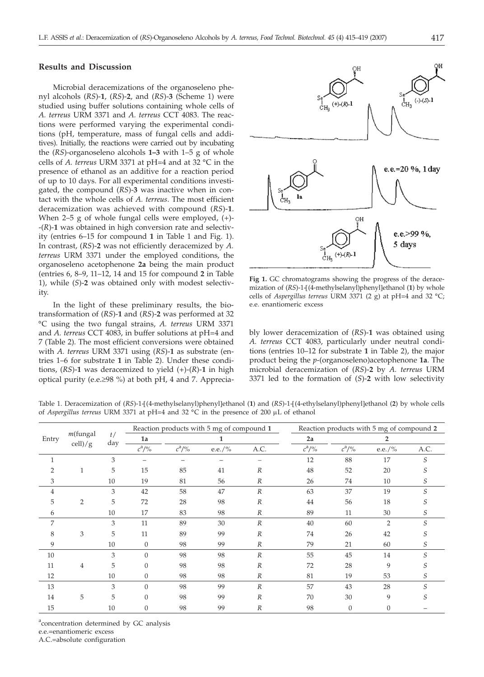# **Results and Discussion**

Microbial deracemizations of the organoseleno phenyl alcohols (*RS*)-**1**, (*RS*)-**2**, and (*RS*)-**3** (Scheme 1) were studied using buffer solutions containing whole cells of *A. terreus* URM 3371 and *A. terreus* CCT 4083. The reactions were performed varying the experimental conditions (pH, temperature, mass of fungal cells and additives). Initially, the reactions were carried out by incubating the (*RS*)-organoseleno alcohols **1–3** with 1–5 g of whole cells of *A. terreus* URM 3371 at pH=4 and at 32 °C in the presence of ethanol as an additive for a reaction period of up to 10 days. For all experimental conditions investigated, the compound (*RS*)-**3** was inactive when in contact with the whole cells of *A. terreus*. The most efficient deracemization was achieved with compound (*RS*)-**1**. When 2–5 g of whole fungal cells were employed, (+)- -(*R*)-**1** was obtained in high conversion rate and selectivity (entries 6–15 for compound **1** in Table 1 and Fig. 1). In contrast, (*RS*)-**2** was not efficiently deracemized by *A. terreus* URM 3371 under the employed conditions, the organoseleno acetophenone **2a** being the main product (entries 6, 8–9, 11–12, 14 and 15 for compound **2** in Table 1), while (*S*)-**2** was obtained only with modest selectivity.

In the light of these preliminary results, the biotransformation of (*RS*)-**1** and (*RS*)-**2** was performed at 32 °C using the two fungal strains, *A. terreus* URM 3371 and *A. terreus* CCT 4083, in buffer solutions at pH=4 and 7 (Table 2). The most efficient conversions were obtained with *A. terreus* URM 3371 using (*RS*)-**1** as substrate (entries 1–6 for substrate **1** in Table 2). Under these conditions, (*RS*)-**1** was deracemized to yield (+)-(*R*)-**1** in high optical purity (e.e.≥98 %) at both pH, 4 and 7. Apprecia-



**Fig 1.** GC chromatograms showing the progress of the deracemization of (RS)-1-[(4-methylselanyl)phenyl]ethanol (1) by whole cells of *Aspergillus terreus* URM 3371 (2 g) at pH=4 and 32 °C; e.e. enantiomeric excess

bly lower deracemization of (*RS*)-**1** was obtained using *A. terreus* CCT 4083, particularly under neutral conditions (entries 10–12 for substrate **1** in Table 2), the major product being the *p*-(organoseleno)acetophenone **1a**. The microbial deracemization of (*RS*)-**2** by *A. terreus* URM 3371 led to the formation of (*S*)-**2** with low selectivity

Table 1. Deracemization of (*RS*)-1-[(4-methylselanyl)phenyl]ethanol (**1**) and (*RS*)-1-[(4-ethylselanyl)phenyl]ethanol (**2**) by whole cells of *Aspergillus terreus* URM 3371 at pH=4 and 32 °C in the presence of 200 mL of ethanol

| Entry          | $m$ (fungal<br>$\text{cell})/\text{g}$ | t/<br>day | Reaction products with 5 mg of compound 1 |          |        |                  | Reaction products with 5 mg of compound 2 |                |                |      |
|----------------|----------------------------------------|-----------|-------------------------------------------|----------|--------|------------------|-------------------------------------------|----------------|----------------|------|
|                |                                        |           | 1a<br>1                                   |          |        | 2a               | $\overline{2}$                            |                |                |      |
|                |                                        |           | $c^{\rm a}/\sqrt[9]{\rm o}$               | $c^2/$ % | e.e./% | A.C.             | $c^a/$ %                                  | $c^a/$ %       | e.e./%         | A.C. |
| $\mathbf{1}$   |                                        | 3         |                                           |          |        |                  | 12                                        | 88             | 17             | S    |
| $\overline{2}$ | 1                                      | 5         | 15                                        | 85       | 41     | $\boldsymbol{R}$ | 48                                        | 52             | 20             |      |
| 3              |                                        | 10        | 19                                        | 81       | 56     | $\boldsymbol{R}$ | 26                                        | 74             | 10             | S    |
| 4              |                                        | 3         | 42                                        | 58       | 47     | $\boldsymbol{R}$ | 63                                        | 37             | 19             | S    |
| 5              | $\overline{2}$                         | 5         | 72                                        | 28       | 98     | $\boldsymbol{R}$ | 44                                        | 56             | 18             | S    |
| 6              |                                        | 10        | 17                                        | 83       | 98     | $\boldsymbol{R}$ | 89                                        | 11             | 30             | S    |
| 7              |                                        | 3         | 11                                        | 89       | 30     | $\boldsymbol{R}$ | 40                                        | 60             | $\overline{2}$ | S    |
| 8              | 3                                      | 5         | 11                                        | 89       | 99     | $\boldsymbol{R}$ | 74                                        | 26             | 42             |      |
| 9              |                                        | 10        | $\mathbf{0}$                              | 98       | 99     | R                | 79                                        | 21             | 60             | S    |
| 10             |                                        | 3         | $\Omega$                                  | 98       | 98     | $\boldsymbol{R}$ | 55                                        | 45             | 14             | S    |
| 11             | 4                                      | 5         | $\mathbf{0}$                              | 98       | 98     | $\boldsymbol{R}$ | 72                                        | 28             | 9              | S    |
| 12             |                                        | 10        | $\mathbf{0}$                              | 98       | 98     | R                | 81                                        | 19             | 53             | S    |
| 13             |                                        | 3         | $\Omega$                                  | 98       | 99     | $\boldsymbol{R}$ | 57                                        | 43             | 28             |      |
| 14             | 5                                      | 5         | $\Omega$                                  | 98       | 99     | $\boldsymbol{R}$ | 70                                        | 30             | 9              | S    |
| 15             |                                        | 10        | $\overline{0}$                            | 98       | 99     | $\boldsymbol{R}$ | 98                                        | $\overline{0}$ | $\theta$       |      |

aconcentration determined by GC analysis e.e.=enantiomeric excess

A.C.=absolute configuration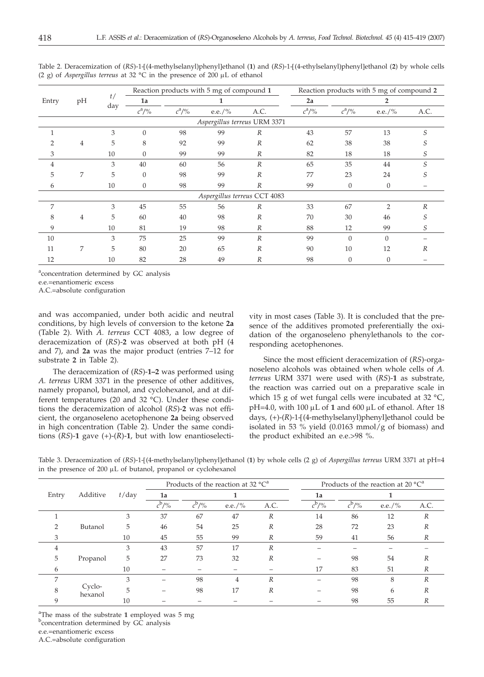| Entry                        |    | t <sub>1</sub><br>day |              |                             | Reaction products with 5 mg of compound 1 |                  |          | Reaction products with 5 mg of compound 2 |               |      |  |
|------------------------------|----|-----------------------|--------------|-----------------------------|-------------------------------------------|------------------|----------|-------------------------------------------|---------------|------|--|
|                              | pH |                       | 1a           |                             |                                           |                  | 2a       | 2                                         |               |      |  |
|                              |    |                       | $c^2/$ %     | $c^{\rm a}/\sqrt[9]{\rm o}$ | e.e./%                                    | A.C.             | $c^2/$ % | $c^2/$ %                                  | e.e./%        | A.C. |  |
| Aspergillus terreus URM 3371 |    |                       |              |                             |                                           |                  |          |                                           |               |      |  |
|                              |    | 3                     | $\theta$     | 98                          | 99                                        | $\boldsymbol{R}$ | 43       | 57                                        | 13            | S    |  |
|                              | 4  | 5                     | 8            | 92                          | 99                                        | R                | 62       | 38                                        | 38            |      |  |
| 3                            |    | 10                    | $\Omega$     | 99                          | 99                                        | $\boldsymbol{R}$ | 82       | 18                                        | 18            | S    |  |
| 4                            |    | 3                     | 40           | 60                          | 56                                        | $\overline{R}$   | 65       | 35                                        | 44            |      |  |
| 5                            | 7  | 5                     | $\Omega$     | 98                          | 99                                        | $\boldsymbol{R}$ | 77       | 23                                        | 24            | 5.   |  |
| 6                            |    | 10                    | $\mathbf{0}$ | 98                          | 99                                        | R                | 99       | $\theta$                                  | $\theta$      |      |  |
| Aspergillus terreus CCT 4083 |    |                       |              |                             |                                           |                  |          |                                           |               |      |  |
| 7                            |    | 3                     | 45           | 55                          | 56                                        | R                | 33       | 67                                        | $\mathcal{P}$ | R    |  |
| 8                            | 4  | 5                     | 60           | 40                          | 98                                        | $\boldsymbol{R}$ | 70       | 30                                        | 46            |      |  |
| 9                            |    | 10                    | 81           | 19                          | 98                                        | $\boldsymbol{R}$ | 88       | 12                                        | 99            | S    |  |
| 10                           |    | 3                     | 75           | 25                          | 99                                        | $\overline{R}$   | 99       | $\Omega$                                  | $\Omega$      |      |  |
| 11                           | 7  | 5                     | 80           | 20                          | 65                                        | $\boldsymbol{R}$ | 90       | 10                                        | 12            | R    |  |
| 12                           |    | 10                    | 82           | 28                          | 49                                        | $\boldsymbol{R}$ | 98       | $\Omega$                                  | $\Omega$      |      |  |

Table 2. Deracemization of (*RS*)-1-[(4-methylselanyl)phenyl]ethanol (**1**) and (*RS*)-1-[(4-ethylselanyl)phenyl]ethanol (**2**) by whole cells (2 g) of *Aspergillus terreus* at 32  $^{\circ}$ C in the presence of 200  $\mu$ L of ethanol

aconcentration determined by GC analysis

e.e.=enantiomeric excess

A.C.=absolute configuration

and was accompanied, under both acidic and neutral conditions, by high levels of conversion to the ketone **2a** (Table 2). With *A. terreus* CCT 4083, a low degree of deracemization of (*RS*)-**2** was observed at both pH (4 and 7), and **2a** was the major product (entries 7–12 for substrate **2** in Table 2).

The deracemization of (*RS*)-**1–2** was performed using *A. terreus* URM 3371 in the presence of other additives, namely propanol, butanol, and cyclohexanol, and at different temperatures (20 and 32 °C). Under these conditions the deracemization of alcohol (*RS*)-**2** was not efficient, the organoseleno acetophenone **2a** being observed in high concentration (Table 2). Under the same conditions (*RS*)-**1** gave (+)-(*R*)-**1**, but with low enantioselectivity in most cases (Table 3). It is concluded that the presence of the additives promoted preferentially the oxidation of the organoseleno phenylethanols to the corresponding acetophenones.

Since the most efficient deracemization of (*RS*)-organoseleno alcohols was obtained when whole cells of *A. terreus* URM 3371 were used with (*RS*)-**1** as substrate, the reaction was carried out on a preparative scale in which 15 g of wet fungal cells were incubated at 32 °C,  $pH=4.0$ , with 100  $\mu$ L of 1 and 600  $\mu$ L of ethanol. After 18 days, (+)-(*R*)-1-[(4-methylselanyl)phenyl]ethanol could be isolated in 53 % yield (0.0163 mmol/g of biomass) and the product exhibited an e.e.>98 %.

|       | Additive          | $t$ /day |                     |          | Products of the reaction at 32 $^{\circ}C^{a}$ |                  |                     | Products of the reaction at 20 $^{\circ}C^{a}$ |        |                  |  |
|-------|-------------------|----------|---------------------|----------|------------------------------------------------|------------------|---------------------|------------------------------------------------|--------|------------------|--|
| Entry |                   |          | 1a<br>л.            |          |                                                | 1a               |                     |                                                |        |                  |  |
|       |                   |          | $c^{b}/\frac{9}{6}$ | $c^b/$ % | e.e./%                                         | A.C.             | $c^{\mathrm{b}}$ /% | $c^{\mathrm{b}}$ /%                            | e.e./% | A.C.             |  |
|       |                   | 3        | 37                  | 67       | 47                                             | R                | 14                  | 86                                             | 12     | R                |  |
|       | Butanol           | 5        | 46                  | 54       | 25                                             | $\boldsymbol{R}$ | 28                  | 72                                             | 23     | R                |  |
|       |                   | 10       | 45                  | 55       | 99                                             | $\boldsymbol{R}$ | 59                  | 41                                             | 56     | R                |  |
| 4     | Propanol          | 3        | 43                  | 57       | 17                                             | $\boldsymbol{R}$ |                     |                                                |        |                  |  |
| 5     |                   | 5        | 27                  | 73       | 32                                             | R                |                     | 98                                             | 54     | R                |  |
| 6     |                   | 10       |                     |          |                                                |                  | 17                  | 83                                             | 51     | R                |  |
|       | Cyclo-<br>hexanol | 3        |                     | 98       | 4                                              | R                |                     | 98                                             | 8      | $\boldsymbol{R}$ |  |
| 8     |                   | 5        |                     | 98       | 17                                             | R                |                     | 98                                             | 6      | R                |  |
| 9     |                   | 10       |                     |          |                                                |                  |                     | 98                                             | 55     | R                |  |

Table 3. Deracemization of (*RS*)-1-[(4-methylselanyl)phenyl]ethanol (1) by whole cells (2 g) of *Aspergillus terreus* URM 3371 at pH=4 in the presence of  $200 \mu L$  of butanol, propanol or cyclohexanol

<sup>a</sup>The mass of the substrate 1 employed was 5 mg **b** concentration determined by GC analysis e.e.=enantiomeric excess A.C.=absolute configuration